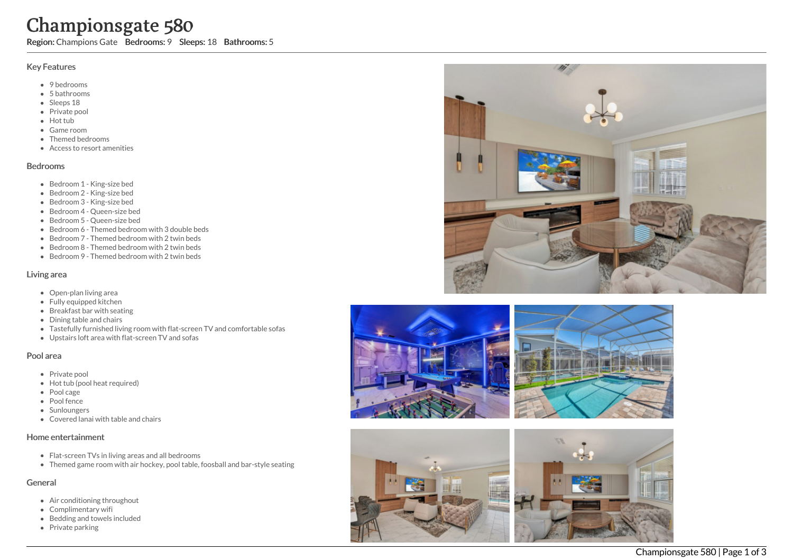# Championsgate 580

Region: Champions Gate Bedrooms: 9 Sleeps: 18 Bathrooms: 5

## Key Features

- 9 bedrooms
- 5 b a t h r o o m s
- Sleeps 18
- Private pool
- Hot tub
- Game room
- Themed bed r o o m s
- Access to resort amenities

#### **Bedrooms**

- Bedroom 1 King-size bed
- Bedroom 2 King-size bed
- Bedroom 3 King-size bed
- Bedroom 4 Queen-size bed
- Bedroom 5 Queen-size bed
- Bedroom 6 Themed bedroom with 3 double beds
- Bedroom 7 Themed bedroom with 2 twin beds
- Bedroom 8 Themed bedroom with 2 twin beds
- Bedroom 9 Themed bedroom with 2 twin beds

#### Living area

- Open-plan living area
- Fully equipped kitchen
- Breakfast bar with seating
- Dining table and chairs
- Tastefully furnished living room with flat-screen TV and comfortable sofas
- Upstairs loft area with flat-screen TV and sofas

### Pool area

- Private pool
- Hot tub (pool heat required)
- Pool cage
- Pool fence
- **Sunloungers**
- Covered lanai with table and chairs

### Home entertainment

- Flat-screen TVs in living areas and all bedrooms
- Themed game room with air hockey, pool table, foosball and bar-style seating

# General

- Air conditioning throughout
- Complimentary wifi
- Bedding and towels in clu d e d
- Private parking







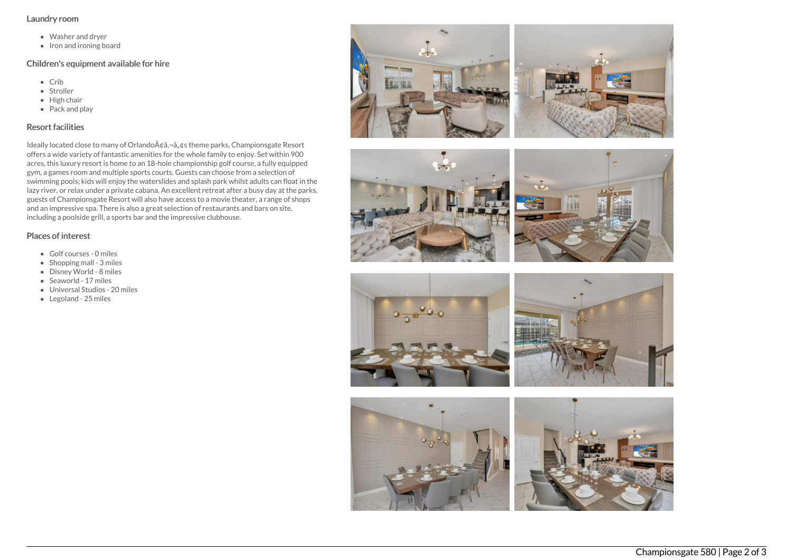#### Laundry room

- Washer and dryer
- Iron and ironing board

## Children's equipment available for hire

- Crib
- Stroller
- $\bullet$  High chair
- Pack and play

# Resort facilities

Ideally located close to many of Orlando A¢â,¬â"¢s theme parks, Championsgate Resort offers a wide variety of fantastic amenities for the whole family to enjoy. Set within 900 acres, this luxury resort is home to an 18-hole championship golf course, a fully equipped gym, a games room and multiple sports courts. Guests can choose from a selection of swimming pools; kids will enjoy the waterslides and splash park whilst adults can float in the lazy river, or relax under a private cabana. An excellent retreat after a busy day at the parks, guests of Championsgate Resort will also have access to a movie theater, a range of shops and an impressive spa. There is also a great selection of restaurants and bars on site, including a poolside grill, a sports bar and the impressive clubhouse.

## Places of interest

- Golf courses 0 miles
- $\bullet$  Shopping mall 3 miles
- Disney World 8 miles
- Seaworld 17 miles
- Universal Studios 20 miles
- Legoland 25 miles